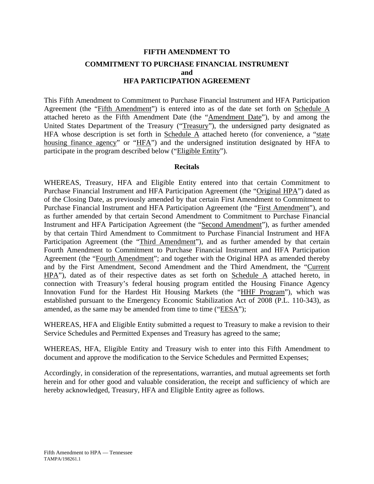# **FIFTH AMENDMENT TO COMMITMENT TO PURCHASE FINANCIAL INSTRUMENT and HFA PARTICIPATION AGREEMENT**

This Fifth Amendment to Commitment to Purchase Financial Instrument and HFA Participation Agreement (the "Fifth Amendment") is entered into as of the date set forth on Schedule A attached hereto as the Fifth Amendment Date (the "Amendment Date"), by and among the United States Department of the Treasury ("Treasury"), the undersigned party designated as HFA whose description is set forth in Schedule  $\overline{A}$  attached hereto (for convenience, a "state housing finance agency" or "HFA") and the undersigned institution designated by HFA to participate in the program described below ("Eligible Entity").

### **Recitals**

WHEREAS, Treasury, HFA and Eligible Entity entered into that certain Commitment to Purchase Financial Instrument and HFA Participation Agreement (the "Original HPA") dated as of the Closing Date, as previously amended by that certain First Amendment to Commitment to Purchase Financial Instrument and HFA Participation Agreement (the "First Amendment"), and as further amended by that certain Second Amendment to Commitment to Purchase Financial Instrument and HFA Participation Agreement (the "Second Amendment"), as further amended by that certain Third Amendment to Commitment to Purchase Financial Instrument and HFA Participation Agreement (the "Third Amendment"), and as further amended by that certain Fourth Amendment to Commitment to Purchase Financial Instrument and HFA Participation Agreement (the "Fourth Amendment"; and together with the Original HPA as amended thereby and by the First Amendment, Second Amendment and the Third Amendment, the "Current HPA"), dated as of their respective dates as set forth on Schedule A attached hereto, in connection with Treasury's federal housing program entitled the Housing Finance Agency Innovation Fund for the Hardest Hit Housing Markets (the "HHF Program"), which was established pursuant to the Emergency Economic Stabilization Act of 2008 (P.L. 110-343), as amended, as the same may be amended from time to time ("EESA");

WHEREAS, HFA and Eligible Entity submitted a request to Treasury to make a revision to their Service Schedules and Permitted Expenses and Treasury has agreed to the same;

WHEREAS, HFA, Eligible Entity and Treasury wish to enter into this Fifth Amendment to document and approve the modification to the Service Schedules and Permitted Expenses;

Accordingly, in consideration of the representations, warranties, and mutual agreements set forth herein and for other good and valuable consideration, the receipt and sufficiency of which are hereby acknowledged, Treasury, HFA and Eligible Entity agree as follows.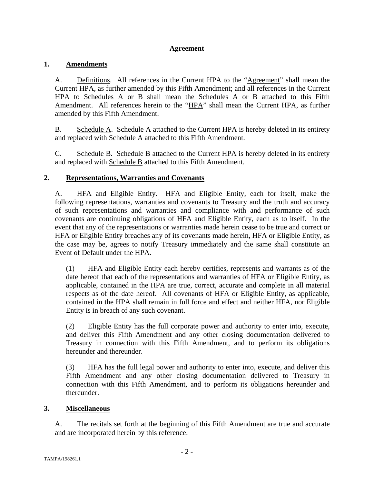## **Agreement**

## **1. Amendments**

A. Definitions. All references in the Current HPA to the "Agreement" shall mean the Current HPA, as further amended by this Fifth Amendment; and all references in the Current HPA to Schedules A or B shall mean the Schedules A or B attached to this Fifth Amendment. All references herein to the "HPA" shall mean the Current HPA, as further amended by this Fifth Amendment.

B. Schedule A. Schedule A attached to the Current HPA is hereby deleted in its entirety and replaced with Schedule A attached to this Fifth Amendment.

C. Schedule B. Schedule B attached to the Current HPA is hereby deleted in its entirety and replaced with Schedule B attached to this Fifth Amendment.

# **2. Representations, Warranties and Covenants**

A. HFA and Eligible Entity. HFA and Eligible Entity, each for itself, make the following representations, warranties and covenants to Treasury and the truth and accuracy of such representations and warranties and compliance with and performance of such covenants are continuing obligations of HFA and Eligible Entity, each as to itself. In the event that any of the representations or warranties made herein cease to be true and correct or HFA or Eligible Entity breaches any of its covenants made herein, HFA or Eligible Entity, as the case may be, agrees to notify Treasury immediately and the same shall constitute an Event of Default under the HPA.

(1) HFA and Eligible Entity each hereby certifies, represents and warrants as of the date hereof that each of the representations and warranties of HFA or Eligible Entity, as applicable, contained in the HPA are true, correct, accurate and complete in all material respects as of the date hereof. All covenants of HFA or Eligible Entity, as applicable, contained in the HPA shall remain in full force and effect and neither HFA, nor Eligible Entity is in breach of any such covenant.

(2) Eligible Entity has the full corporate power and authority to enter into, execute, and deliver this Fifth Amendment and any other closing documentation delivered to Treasury in connection with this Fifth Amendment, and to perform its obligations hereunder and thereunder.

(3) HFA has the full legal power and authority to enter into, execute, and deliver this Fifth Amendment and any other closing documentation delivered to Treasury in connection with this Fifth Amendment, and to perform its obligations hereunder and thereunder.

## **3. Miscellaneous**

A. The recitals set forth at the beginning of this Fifth Amendment are true and accurate and are incorporated herein by this reference.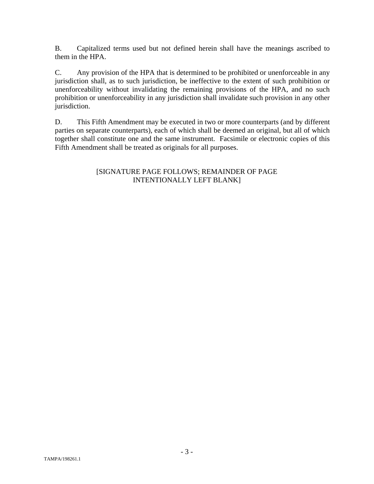B. Capitalized terms used but not defined herein shall have the meanings ascribed to them in the HPA.

C. Any provision of the HPA that is determined to be prohibited or unenforceable in any jurisdiction shall, as to such jurisdiction, be ineffective to the extent of such prohibition or unenforceability without invalidating the remaining provisions of the HPA, and no such prohibition or unenforceability in any jurisdiction shall invalidate such provision in any other jurisdiction.

D. This Fifth Amendment may be executed in two or more counterparts (and by different parties on separate counterparts), each of which shall be deemed an original, but all of which together shall constitute one and the same instrument. Facsimile or electronic copies of this Fifth Amendment shall be treated as originals for all purposes.

## [SIGNATURE PAGE FOLLOWS; REMAINDER OF PAGE INTENTIONALLY LEFT BLANK]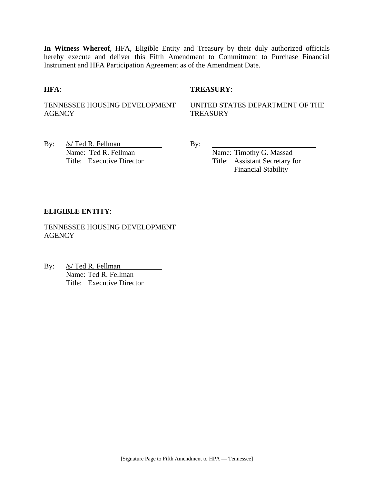**In Witness Whereof**, HFA, Eligible Entity and Treasury by their duly authorized officials hereby execute and deliver this Fifth Amendment to Commitment to Purchase Financial Instrument and HFA Participation Agreement as of the Amendment Date.

## **HFA**: **TREASURY**:

TENNESSEE HOUSING DEVELOPMENT **AGENCY** 

UNITED STATES DEPARTMENT OF THE **TREASURY** 

By:  $/s/\text{Ted R. Fellman}$  By: Name: Ted R. Fellman Name: Timothy G. Massad

Title: Executive Director Title: Assistant Secretary for Financial Stability

### **ELIGIBLE ENTITY**:

TENNESSEE HOUSING DEVELOPMENT **AGENCY** 

By: /s/ Ted R. Fellman Name: Ted R. Fellman Title: Executive Director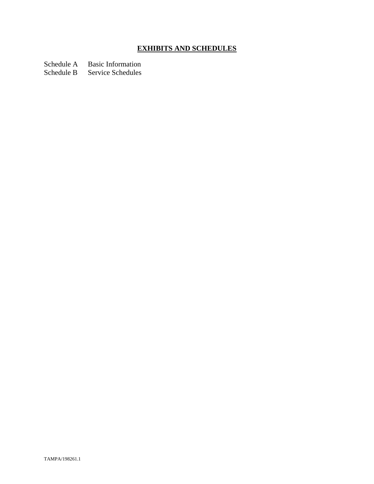# **EXHIBITS AND SCHEDULES**

Schedule A Basic Information

Schedule B Service Schedules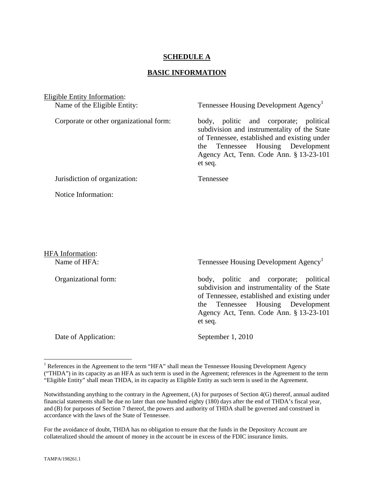## **SCHEDULE A**

## **BASIC INFORMATION**

Eligible Entity Information: Name of the Eligible Entity: Tennessee Housing Development Agency<sup>1</sup> Corporate or other organizational form: body, politic and corporate; political subdivision and instrumentality of the State of Tennessee, established and existing under the Tennessee Housing Development Agency Act, Tenn. Code Ann. § 13-23-101 et seq. Jurisdiction of organization: Tennessee Notice Information:

HFA Information:

Name of HFA: Tennessee Housing Development Agency<sup>1</sup>

Organizational form: body, politic and corporate; political subdivision and instrumentality of the State of Tennessee, established and existing under the Tennessee Housing Development Agency Act, Tenn. Code Ann. § 13-23-101 et seq.

Date of Application: September 1, 2010

For the avoidance of doubt, THDA has no obligation to ensure that the funds in the Depository Account are collateralized should the amount of money in the account be in excess of the FDIC insurance limits.

1

<sup>&</sup>lt;sup>1</sup> References in the Agreement to the term "HFA" shall mean the Tennessee Housing Development Agency ("THDA") in its capacity as an HFA as such term is used in the Agreement; references in the Agreement to the term "Eligible Entity" shall mean THDA, in its capacity as Eligible Entity as such term is used in the Agreement.

Notwithstanding anything to the contrary in the Agreement, (A) for purposes of Section 4(G) thereof, annual audited financial statements shall be due no later than one hundred eighty (180) days after the end of THDA's fiscal year, and (B) for purposes of Section 7 thereof, the powers and authority of THDA shall be governed and construed in accordance with the laws of the State of Tennessee.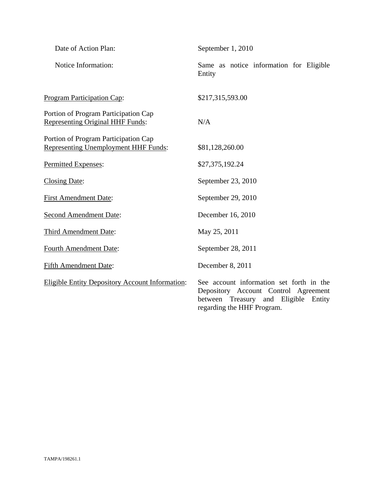| Date of Action Plan:                                                                | September 1, 2010                                                                                                                                            |
|-------------------------------------------------------------------------------------|--------------------------------------------------------------------------------------------------------------------------------------------------------------|
| Notice Information:                                                                 | Same as notice information for Eligible<br>Entity                                                                                                            |
| Program Participation Cap:                                                          | \$217,315,593.00                                                                                                                                             |
| Portion of Program Participation Cap<br><b>Representing Original HHF Funds:</b>     | N/A                                                                                                                                                          |
| Portion of Program Participation Cap<br><b>Representing Unemployment HHF Funds:</b> | \$81,128,260.00                                                                                                                                              |
| Permitted Expenses:                                                                 | \$27,375,192.24                                                                                                                                              |
| <b>Closing Date:</b>                                                                | September 23, 2010                                                                                                                                           |
| <b>First Amendment Date:</b>                                                        | September 29, 2010                                                                                                                                           |
| <b>Second Amendment Date:</b>                                                       | December 16, 2010                                                                                                                                            |
| Third Amendment Date:                                                               | May 25, 2011                                                                                                                                                 |
| <b>Fourth Amendment Date:</b>                                                       | September 28, 2011                                                                                                                                           |
| <b>Fifth Amendment Date:</b>                                                        | December 8, 2011                                                                                                                                             |
| <b>Eligible Entity Depository Account Information:</b>                              | See account information set forth in the<br>Depository Account Control Agreement<br>between<br>Treasury and Eligible<br>Entity<br>regarding the HHF Program. |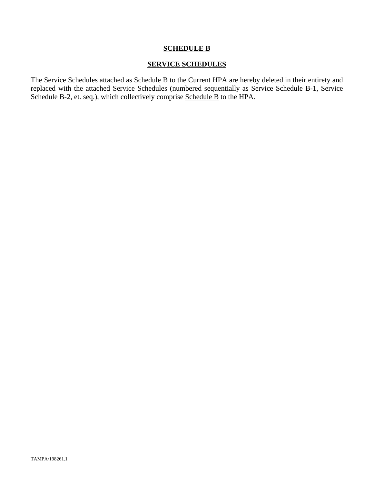## **SCHEDULE B**

## **SERVICE SCHEDULES**

The Service Schedules attached as Schedule B to the Current HPA are hereby deleted in their entirety and replaced with the attached Service Schedules (numbered sequentially as Service Schedule B-1, Service Schedule B-2, et. seq.), which collectively comprise Schedule B to the HPA.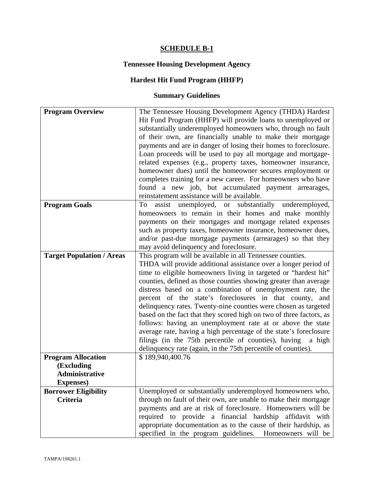# **SCHEDULE B-1**

# **Tennessee Housing Development Agency**

# **Hardest Hit Fund Program (HHFP)**

# **Summary Guidelines**

| <b>Program Overview</b>                                                        | The Tennessee Housing Development Agency (THDA) Hardest<br>Hit Fund Program (HHFP) will provide loans to unemployed or<br>substantially underemployed homeowners who, through no fault<br>of their own, are financially unable to make their mortgage<br>payments and are in danger of losing their homes to foreclosure.<br>Loan proceeds will be used to pay all mortgage and mortgage-<br>related expenses (e.g., property taxes, homeowner insurance,<br>homeowner dues) until the homeowner secures employment or<br>completes training for a new career. For homeowners who have<br>found a new job, but accumulated payment arrearages,                                                                                                                                                                                                        |
|--------------------------------------------------------------------------------|-------------------------------------------------------------------------------------------------------------------------------------------------------------------------------------------------------------------------------------------------------------------------------------------------------------------------------------------------------------------------------------------------------------------------------------------------------------------------------------------------------------------------------------------------------------------------------------------------------------------------------------------------------------------------------------------------------------------------------------------------------------------------------------------------------------------------------------------------------|
| <b>Program Goals</b>                                                           | reinstatement assistance will be available.<br>assist unemployed, or substantially<br>To<br>underemployed,<br>homeowners to remain in their homes and make monthly<br>payments on their mortgages and mortgage related expenses<br>such as property taxes, homeowner insurance, homeowner dues,<br>and/or past-due mortgage payments (arrearages) so that they                                                                                                                                                                                                                                                                                                                                                                                                                                                                                        |
| <b>Target Population / Areas</b>                                               | may avoid delinquency and foreclosure.<br>This program will be available in all Tennessee counties.<br>THDA will provide additional assistance over a longer period of<br>time to eligible homeowners living in targeted or "hardest hit"<br>counties, defined as those counties showing greater than average<br>distress based on a combination of unemployment rate, the<br>percent of the state's foreclosures in that county, and<br>delinquency rates. Twenty-nine counties were chosen as targeted<br>based on the fact that they scored high on two of three factors, as<br>follows: having an unemployment rate at or above the state<br>average rate, having a high percentage of the state's foreclosure<br>filings (in the 75th percentile of counties), having<br>a high<br>delinquency rate (again, in the 75th percentile of counties). |
| <b>Program Allocation</b><br>(Excluding<br>Administrative<br><b>Expenses</b> ) | \$189,940,400.76                                                                                                                                                                                                                                                                                                                                                                                                                                                                                                                                                                                                                                                                                                                                                                                                                                      |
| <b>Borrower Eligibility</b><br><b>Criteria</b>                                 | Unemployed or substantially underemployed homeowners who,<br>through no fault of their own, are unable to make their mortgage<br>payments and are at risk of foreclosure. Homeowners will be<br>required to provide a financial hardship affidavit with<br>appropriate documentation as to the cause of their hardship, as<br>specified in the program guidelines. Homeowners will be                                                                                                                                                                                                                                                                                                                                                                                                                                                                 |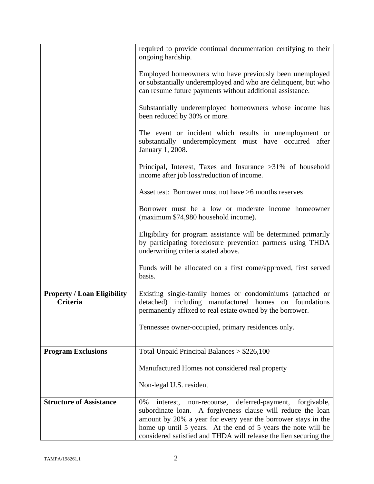|                                                | required to provide continual documentation certifying to their<br>ongoing hardship.                                                                                                                                                                                                                                                         |
|------------------------------------------------|----------------------------------------------------------------------------------------------------------------------------------------------------------------------------------------------------------------------------------------------------------------------------------------------------------------------------------------------|
|                                                | Employed homeowners who have previously been unemployed<br>or substantially underemployed and who are delinquent, but who<br>can resume future payments without additional assistance.                                                                                                                                                       |
|                                                | Substantially underemployed homeowners whose income has<br>been reduced by 30% or more.                                                                                                                                                                                                                                                      |
|                                                | The event or incident which results in unemployment or<br>substantially underemployment must have occurred after<br>January 1, 2008.                                                                                                                                                                                                         |
|                                                | Principal, Interest, Taxes and Insurance >31% of household<br>income after job loss/reduction of income.                                                                                                                                                                                                                                     |
|                                                | Asset test: Borrower must not have >6 months reserves                                                                                                                                                                                                                                                                                        |
|                                                | Borrower must be a low or moderate income homeowner<br>(maximum \$74,980 household income).                                                                                                                                                                                                                                                  |
|                                                | Eligibility for program assistance will be determined primarily<br>by participating foreclosure prevention partners using THDA<br>underwriting criteria stated above.                                                                                                                                                                        |
|                                                | Funds will be allocated on a first come/approved, first served<br>basis.                                                                                                                                                                                                                                                                     |
| <b>Property / Loan Eligibility</b><br>Criteria | Existing single-family homes or condominiums (attached or<br>detached) including manufactured homes on foundations<br>permanently affixed to real estate owned by the borrower.                                                                                                                                                              |
|                                                | Tennessee owner-occupied, primary residences only.                                                                                                                                                                                                                                                                                           |
| <b>Program Exclusions</b>                      | Total Unpaid Principal Balances $> $226,100$                                                                                                                                                                                                                                                                                                 |
|                                                | Manufactured Homes not considered real property                                                                                                                                                                                                                                                                                              |
|                                                | Non-legal U.S. resident                                                                                                                                                                                                                                                                                                                      |
| <b>Structure of Assistance</b>                 | 0%<br>deferred-payment,<br>forgivable,<br>interest,<br>non-recourse,<br>A forgiveness clause will reduce the loan<br>subordinate loan.<br>amount by 20% a year for every year the borrower stays in the<br>home up until 5 years. At the end of 5 years the note will be<br>considered satisfied and THDA will release the lien securing the |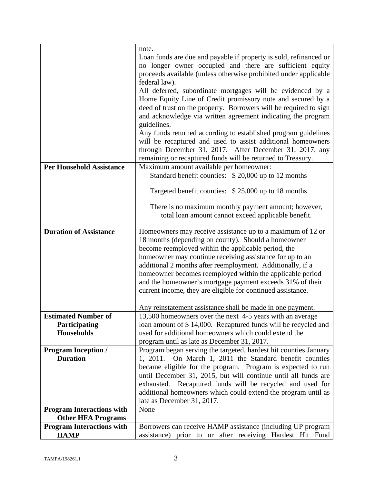|                                  | note.                                                                                                                   |
|----------------------------------|-------------------------------------------------------------------------------------------------------------------------|
|                                  | Loan funds are due and payable if property is sold, refinanced or                                                       |
|                                  | no longer owner occupied and there are sufficient equity                                                                |
|                                  | proceeds available (unless otherwise prohibited under applicable                                                        |
|                                  | federal law).                                                                                                           |
|                                  | All deferred, subordinate mortgages will be evidenced by a                                                              |
|                                  | Home Equity Line of Credit promissory note and secured by a                                                             |
|                                  | deed of trust on the property. Borrowers will be required to sign                                                       |
|                                  | and acknowledge via written agreement indicating the program                                                            |
|                                  | guidelines.<br>Any funds returned according to established program guidelines                                           |
|                                  | will be recaptured and used to assist additional homeowners                                                             |
|                                  | through December 31, 2017. After December 31, 2017, any                                                                 |
|                                  | remaining or recaptured funds will be returned to Treasury.                                                             |
| <b>Per Household Assistance</b>  | Maximum amount available per homeowner:                                                                                 |
|                                  | Standard benefit counties: \$20,000 up to 12 months                                                                     |
|                                  |                                                                                                                         |
|                                  | Targeted benefit counties: \$25,000 up to 18 months                                                                     |
|                                  |                                                                                                                         |
|                                  | There is no maximum monthly payment amount; however,                                                                    |
|                                  | total loan amount cannot exceed applicable benefit.                                                                     |
| <b>Duration of Assistance</b>    | Homeowners may receive assistance up to a maximum of 12 or                                                              |
|                                  | 18 months (depending on county). Should a homeowner                                                                     |
|                                  | become reemployed within the applicable period, the                                                                     |
|                                  | homeowner may continue receiving assistance for up to an                                                                |
|                                  | additional 2 months after reemployment. Additionally, if a                                                              |
|                                  | homeowner becomes reemployed within the applicable period                                                               |
|                                  | and the homeowner's mortgage payment exceeds 31% of their                                                               |
|                                  | current income, they are eligible for continued assistance.                                                             |
|                                  |                                                                                                                         |
| <b>Estimated Number of</b>       | Any reinstatement assistance shall be made in one payment.<br>13,500 homeowners over the next 4-5 years with an average |
| Participating                    | loan amount of \$14,000. Recaptured funds will be recycled and                                                          |
| <b>Households</b>                | used for additional homeowners which could extend the                                                                   |
|                                  | program until as late as December 31, 2017.                                                                             |
| <b>Program Inception /</b>       | Program began serving the targeted, hardest hit counties January                                                        |
| <b>Duration</b>                  | On March 1, 2011 the Standard benefit counties<br>1, 2011.                                                              |
|                                  | became eligible for the program. Program is expected to run                                                             |
|                                  | until December 31, 2015, but will continue until all funds are                                                          |
|                                  | exhausted. Recaptured funds will be recycled and used for                                                               |
|                                  | additional homeowners which could extend the program until as                                                           |
|                                  | late as December 31, 2017.                                                                                              |
| <b>Program Interactions with</b> | None                                                                                                                    |
| <b>Other HFA Programs</b>        |                                                                                                                         |
| <b>Program Interactions with</b> | Borrowers can receive HAMP assistance (including UP program                                                             |
| <b>HAMP</b>                      | assistance) prior to or after receiving Hardest Hit Fund                                                                |